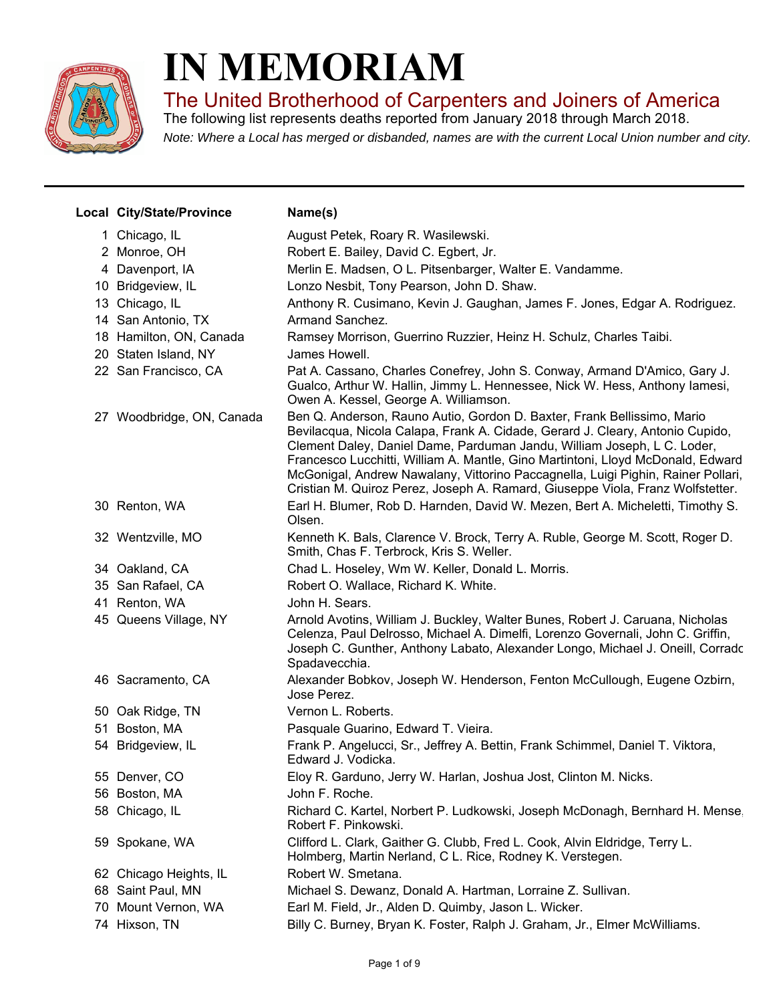

## **IN MEMORIAM**

The United Brotherhood of Carpenters and Joiners of America

*Note: Where a Local has merged or disbanded, names are with the current Local Union number and city.* The following list represents deaths reported from January 2018 through March 2018.

| Local City/State/Province | Name(s)                                                                                                                                                                                                                                                                                                                                                                                                                                                                                      |
|---------------------------|----------------------------------------------------------------------------------------------------------------------------------------------------------------------------------------------------------------------------------------------------------------------------------------------------------------------------------------------------------------------------------------------------------------------------------------------------------------------------------------------|
| 1 Chicago, IL             | August Petek, Roary R. Wasilewski.                                                                                                                                                                                                                                                                                                                                                                                                                                                           |
| 2 Monroe, OH              | Robert E. Bailey, David C. Egbert, Jr.                                                                                                                                                                                                                                                                                                                                                                                                                                                       |
| 4 Davenport, IA           | Merlin E. Madsen, O L. Pitsenbarger, Walter E. Vandamme.                                                                                                                                                                                                                                                                                                                                                                                                                                     |
| 10 Bridgeview, IL         | Lonzo Nesbit, Tony Pearson, John D. Shaw.                                                                                                                                                                                                                                                                                                                                                                                                                                                    |
| 13 Chicago, IL            | Anthony R. Cusimano, Kevin J. Gaughan, James F. Jones, Edgar A. Rodriguez.                                                                                                                                                                                                                                                                                                                                                                                                                   |
| 14 San Antonio, TX        | Armand Sanchez.                                                                                                                                                                                                                                                                                                                                                                                                                                                                              |
| 18 Hamilton, ON, Canada   | Ramsey Morrison, Guerrino Ruzzier, Heinz H. Schulz, Charles Taibi.                                                                                                                                                                                                                                                                                                                                                                                                                           |
| 20 Staten Island, NY      | James Howell.                                                                                                                                                                                                                                                                                                                                                                                                                                                                                |
| 22 San Francisco, CA      | Pat A. Cassano, Charles Conefrey, John S. Conway, Armand D'Amico, Gary J.<br>Gualco, Arthur W. Hallin, Jimmy L. Hennessee, Nick W. Hess, Anthony lamesi,<br>Owen A. Kessel, George A. Williamson.                                                                                                                                                                                                                                                                                            |
| 27 Woodbridge, ON, Canada | Ben Q. Anderson, Rauno Autio, Gordon D. Baxter, Frank Bellissimo, Mario<br>Bevilacqua, Nicola Calapa, Frank A. Cidade, Gerard J. Cleary, Antonio Cupido,<br>Clement Daley, Daniel Dame, Parduman Jandu, William Joseph, L C. Loder,<br>Francesco Lucchitti, William A. Mantle, Gino Martintoni, Lloyd McDonald, Edward<br>McGonigal, Andrew Nawalany, Vittorino Paccagnella, Luigi Pighin, Rainer Pollari,<br>Cristian M. Quiroz Perez, Joseph A. Ramard, Giuseppe Viola, Franz Wolfstetter. |
| 30 Renton, WA             | Earl H. Blumer, Rob D. Harnden, David W. Mezen, Bert A. Micheletti, Timothy S.<br>Olsen.                                                                                                                                                                                                                                                                                                                                                                                                     |
| 32 Wentzville, MO         | Kenneth K. Bals, Clarence V. Brock, Terry A. Ruble, George M. Scott, Roger D.<br>Smith, Chas F. Terbrock, Kris S. Weller.                                                                                                                                                                                                                                                                                                                                                                    |
| 34 Oakland, CA            | Chad L. Hoseley, Wm W. Keller, Donald L. Morris.                                                                                                                                                                                                                                                                                                                                                                                                                                             |
| 35 San Rafael, CA         | Robert O. Wallace, Richard K. White.                                                                                                                                                                                                                                                                                                                                                                                                                                                         |
| 41 Renton, WA             | John H. Sears.                                                                                                                                                                                                                                                                                                                                                                                                                                                                               |
| 45 Queens Village, NY     | Arnold Avotins, William J. Buckley, Walter Bunes, Robert J. Caruana, Nicholas<br>Celenza, Paul Delrosso, Michael A. Dimelfi, Lorenzo Governali, John C. Griffin,<br>Joseph C. Gunther, Anthony Labato, Alexander Longo, Michael J. Oneill, Corradc<br>Spadavecchia.                                                                                                                                                                                                                          |
| 46 Sacramento, CA         | Alexander Bobkov, Joseph W. Henderson, Fenton McCullough, Eugene Ozbirn,<br>Jose Perez.                                                                                                                                                                                                                                                                                                                                                                                                      |
| 50 Oak Ridge, TN          | Vernon L. Roberts.                                                                                                                                                                                                                                                                                                                                                                                                                                                                           |
| 51 Boston, MA             | Pasquale Guarino, Edward T. Vieira.                                                                                                                                                                                                                                                                                                                                                                                                                                                          |
| 54 Bridgeview, IL         | Frank P. Angelucci, Sr., Jeffrey A. Bettin, Frank Schimmel, Daniel T. Viktora,<br>Edward J. Vodicka.                                                                                                                                                                                                                                                                                                                                                                                         |
| 55 Denver, CO             | Eloy R. Garduno, Jerry W. Harlan, Joshua Jost, Clinton M. Nicks.                                                                                                                                                                                                                                                                                                                                                                                                                             |
| 56 Boston, MA             | John F. Roche.                                                                                                                                                                                                                                                                                                                                                                                                                                                                               |
| 58 Chicago, IL            | Richard C. Kartel, Norbert P. Ludkowski, Joseph McDonagh, Bernhard H. Mense,<br>Robert F. Pinkowski.                                                                                                                                                                                                                                                                                                                                                                                         |
| 59 Spokane, WA            | Clifford L. Clark, Gaither G. Clubb, Fred L. Cook, Alvin Eldridge, Terry L.<br>Holmberg, Martin Nerland, C L. Rice, Rodney K. Verstegen.                                                                                                                                                                                                                                                                                                                                                     |
| 62 Chicago Heights, IL    | Robert W. Smetana.                                                                                                                                                                                                                                                                                                                                                                                                                                                                           |
| 68 Saint Paul, MN         | Michael S. Dewanz, Donald A. Hartman, Lorraine Z. Sullivan.                                                                                                                                                                                                                                                                                                                                                                                                                                  |
| 70 Mount Vernon, WA       | Earl M. Field, Jr., Alden D. Quimby, Jason L. Wicker.                                                                                                                                                                                                                                                                                                                                                                                                                                        |
| 74 Hixson, TN             | Billy C. Burney, Bryan K. Foster, Ralph J. Graham, Jr., Elmer McWilliams.                                                                                                                                                                                                                                                                                                                                                                                                                    |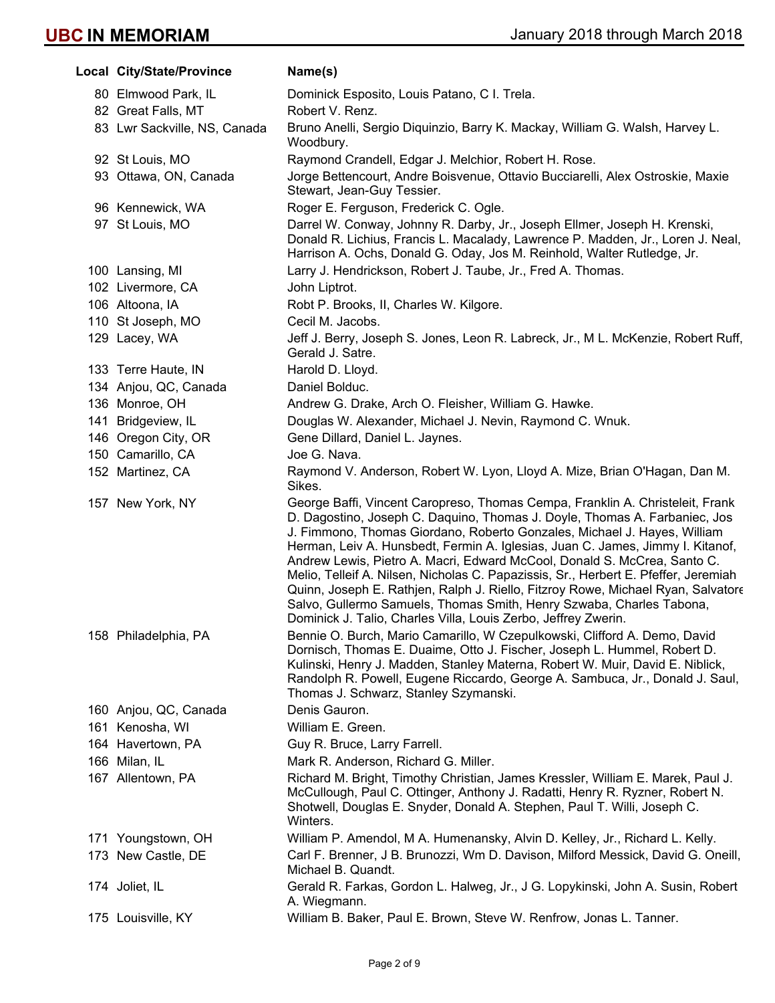| Local City/State/Province    | Name(s)                                                                                                                                                                                                                                                                                                                                                                                                                                                                                                                                                                                                                                                                                                                    |
|------------------------------|----------------------------------------------------------------------------------------------------------------------------------------------------------------------------------------------------------------------------------------------------------------------------------------------------------------------------------------------------------------------------------------------------------------------------------------------------------------------------------------------------------------------------------------------------------------------------------------------------------------------------------------------------------------------------------------------------------------------------|
| 80 Elmwood Park, IL          | Dominick Esposito, Louis Patano, C I. Trela.                                                                                                                                                                                                                                                                                                                                                                                                                                                                                                                                                                                                                                                                               |
| 82 Great Falls, MT           | Robert V. Renz.                                                                                                                                                                                                                                                                                                                                                                                                                                                                                                                                                                                                                                                                                                            |
| 83 Lwr Sackville, NS, Canada | Bruno Anelli, Sergio Diquinzio, Barry K. Mackay, William G. Walsh, Harvey L.<br>Woodbury.                                                                                                                                                                                                                                                                                                                                                                                                                                                                                                                                                                                                                                  |
| 92 St Louis, MO              | Raymond Crandell, Edgar J. Melchior, Robert H. Rose.                                                                                                                                                                                                                                                                                                                                                                                                                                                                                                                                                                                                                                                                       |
| 93 Ottawa, ON, Canada        | Jorge Bettencourt, Andre Boisvenue, Ottavio Bucciarelli, Alex Ostroskie, Maxie<br>Stewart, Jean-Guy Tessier.                                                                                                                                                                                                                                                                                                                                                                                                                                                                                                                                                                                                               |
| 96 Kennewick, WA             | Roger E. Ferguson, Frederick C. Ogle.                                                                                                                                                                                                                                                                                                                                                                                                                                                                                                                                                                                                                                                                                      |
| 97 St Louis, MO              | Darrel W. Conway, Johnny R. Darby, Jr., Joseph Ellmer, Joseph H. Krenski,<br>Donald R. Lichius, Francis L. Macalady, Lawrence P. Madden, Jr., Loren J. Neal,<br>Harrison A. Ochs, Donald G. Oday, Jos M. Reinhold, Walter Rutledge, Jr.                                                                                                                                                                                                                                                                                                                                                                                                                                                                                    |
| 100 Lansing, MI              | Larry J. Hendrickson, Robert J. Taube, Jr., Fred A. Thomas.                                                                                                                                                                                                                                                                                                                                                                                                                                                                                                                                                                                                                                                                |
| 102 Livermore, CA            | John Liptrot.                                                                                                                                                                                                                                                                                                                                                                                                                                                                                                                                                                                                                                                                                                              |
| 106 Altoona, IA              | Robt P. Brooks, II, Charles W. Kilgore.                                                                                                                                                                                                                                                                                                                                                                                                                                                                                                                                                                                                                                                                                    |
| 110 St Joseph, MO            | Cecil M. Jacobs.                                                                                                                                                                                                                                                                                                                                                                                                                                                                                                                                                                                                                                                                                                           |
| 129 Lacey, WA                | Jeff J. Berry, Joseph S. Jones, Leon R. Labreck, Jr., M L. McKenzie, Robert Ruff,<br>Gerald J. Satre.                                                                                                                                                                                                                                                                                                                                                                                                                                                                                                                                                                                                                      |
| 133 Terre Haute, IN          | Harold D. Lloyd.                                                                                                                                                                                                                                                                                                                                                                                                                                                                                                                                                                                                                                                                                                           |
| 134 Anjou, QC, Canada        | Daniel Bolduc.                                                                                                                                                                                                                                                                                                                                                                                                                                                                                                                                                                                                                                                                                                             |
| 136 Monroe, OH               | Andrew G. Drake, Arch O. Fleisher, William G. Hawke.                                                                                                                                                                                                                                                                                                                                                                                                                                                                                                                                                                                                                                                                       |
| 141 Bridgeview, IL           | Douglas W. Alexander, Michael J. Nevin, Raymond C. Wnuk.                                                                                                                                                                                                                                                                                                                                                                                                                                                                                                                                                                                                                                                                   |
| 146 Oregon City, OR          | Gene Dillard, Daniel L. Jaynes.                                                                                                                                                                                                                                                                                                                                                                                                                                                                                                                                                                                                                                                                                            |
| 150 Camarillo, CA            | Joe G. Nava.                                                                                                                                                                                                                                                                                                                                                                                                                                                                                                                                                                                                                                                                                                               |
| 152 Martinez, CA             | Raymond V. Anderson, Robert W. Lyon, Lloyd A. Mize, Brian O'Hagan, Dan M.<br>Sikes.                                                                                                                                                                                                                                                                                                                                                                                                                                                                                                                                                                                                                                        |
| 157 New York, NY             | George Baffi, Vincent Caropreso, Thomas Cempa, Franklin A. Christeleit, Frank<br>D. Dagostino, Joseph C. Daquino, Thomas J. Doyle, Thomas A. Farbaniec, Jos<br>J. Fimmono, Thomas Giordano, Roberto Gonzales, Michael J. Hayes, William<br>Herman, Leiv A. Hunsbedt, Fermin A. Iglesias, Juan C. James, Jimmy I. Kitanof,<br>Andrew Lewis, Pietro A. Macri, Edward McCool, Donald S. McCrea, Santo C.<br>Melio, Telleif A. Nilsen, Nicholas C. Papazissis, Sr., Herbert E. Pfeffer, Jeremiah<br>Quinn, Joseph E. Rathjen, Ralph J. Riello, Fitzroy Rowe, Michael Ryan, Salvatore<br>Salvo, Gullermo Samuels, Thomas Smith, Henry Szwaba, Charles Tabona,<br>Dominick J. Talio, Charles Villa, Louis Zerbo, Jeffrey Zwerin. |
| 158 Philadelphia, PA         | Bennie O. Burch, Mario Camarillo, W Czepulkowski, Clifford A. Demo, David<br>Dornisch, Thomas E. Duaime, Otto J. Fischer, Joseph L. Hummel, Robert D.<br>Kulinski, Henry J. Madden, Stanley Materna, Robert W. Muir, David E. Niblick,<br>Randolph R. Powell, Eugene Riccardo, George A. Sambuca, Jr., Donald J. Saul,<br>Thomas J. Schwarz, Stanley Szymanski.                                                                                                                                                                                                                                                                                                                                                            |
| 160 Anjou, QC, Canada        | Denis Gauron.                                                                                                                                                                                                                                                                                                                                                                                                                                                                                                                                                                                                                                                                                                              |
| 161 Kenosha, WI              | William E. Green.                                                                                                                                                                                                                                                                                                                                                                                                                                                                                                                                                                                                                                                                                                          |
| 164 Havertown, PA            | Guy R. Bruce, Larry Farrell.                                                                                                                                                                                                                                                                                                                                                                                                                                                                                                                                                                                                                                                                                               |
| 166 Milan, IL                | Mark R. Anderson, Richard G. Miller.                                                                                                                                                                                                                                                                                                                                                                                                                                                                                                                                                                                                                                                                                       |
| 167 Allentown, PA            | Richard M. Bright, Timothy Christian, James Kressler, William E. Marek, Paul J.<br>McCullough, Paul C. Ottinger, Anthony J. Radatti, Henry R. Ryzner, Robert N.<br>Shotwell, Douglas E. Snyder, Donald A. Stephen, Paul T. Willi, Joseph C.<br>Winters.                                                                                                                                                                                                                                                                                                                                                                                                                                                                    |
| 171 Youngstown, OH           | William P. Amendol, M A. Humenansky, Alvin D. Kelley, Jr., Richard L. Kelly.                                                                                                                                                                                                                                                                                                                                                                                                                                                                                                                                                                                                                                               |
| 173 New Castle, DE           | Carl F. Brenner, J B. Brunozzi, Wm D. Davison, Milford Messick, David G. Oneill,<br>Michael B. Quandt.                                                                                                                                                                                                                                                                                                                                                                                                                                                                                                                                                                                                                     |
| 174 Joliet, IL               | Gerald R. Farkas, Gordon L. Halweg, Jr., J G. Lopykinski, John A. Susin, Robert<br>A. Wiegmann.                                                                                                                                                                                                                                                                                                                                                                                                                                                                                                                                                                                                                            |
| 175 Louisville, KY           | William B. Baker, Paul E. Brown, Steve W. Renfrow, Jonas L. Tanner.                                                                                                                                                                                                                                                                                                                                                                                                                                                                                                                                                                                                                                                        |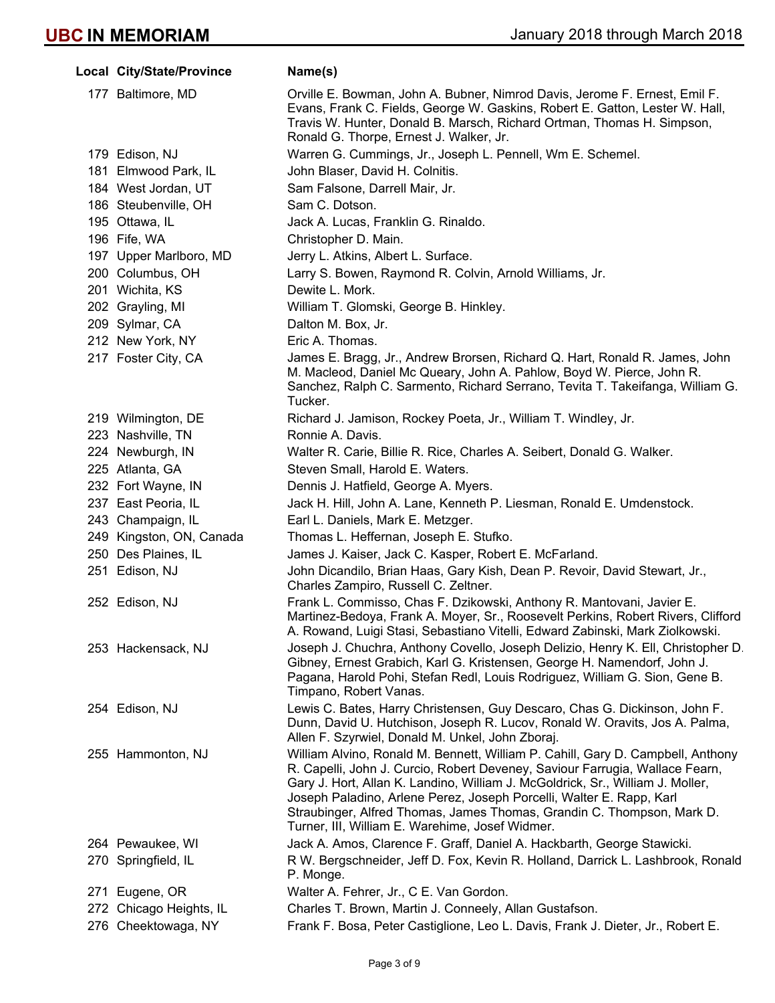| Local City/State/Province | Name(s)                                                                                                                                                                                                                                                                                                                                                                                                                                                |
|---------------------------|--------------------------------------------------------------------------------------------------------------------------------------------------------------------------------------------------------------------------------------------------------------------------------------------------------------------------------------------------------------------------------------------------------------------------------------------------------|
| 177 Baltimore, MD         | Orville E. Bowman, John A. Bubner, Nimrod Davis, Jerome F. Ernest, Emil F.<br>Evans, Frank C. Fields, George W. Gaskins, Robert E. Gatton, Lester W. Hall,<br>Travis W. Hunter, Donald B. Marsch, Richard Ortman, Thomas H. Simpson,<br>Ronald G. Thorpe, Ernest J. Walker, Jr.                                                                                                                                                                        |
| 179 Edison, NJ            | Warren G. Cummings, Jr., Joseph L. Pennell, Wm E. Schemel.                                                                                                                                                                                                                                                                                                                                                                                             |
| 181 Elmwood Park, IL      | John Blaser, David H. Colnitis.                                                                                                                                                                                                                                                                                                                                                                                                                        |
| 184 West Jordan, UT       | Sam Falsone, Darrell Mair, Jr.                                                                                                                                                                                                                                                                                                                                                                                                                         |
| 186 Steubenville, OH      | Sam C. Dotson.                                                                                                                                                                                                                                                                                                                                                                                                                                         |
| 195 Ottawa, IL            | Jack A. Lucas, Franklin G. Rinaldo.                                                                                                                                                                                                                                                                                                                                                                                                                    |
| 196 Fife, WA              | Christopher D. Main.                                                                                                                                                                                                                                                                                                                                                                                                                                   |
| 197 Upper Marlboro, MD    | Jerry L. Atkins, Albert L. Surface.                                                                                                                                                                                                                                                                                                                                                                                                                    |
| 200 Columbus, OH          | Larry S. Bowen, Raymond R. Colvin, Arnold Williams, Jr.                                                                                                                                                                                                                                                                                                                                                                                                |
| 201 Wichita, KS           | Dewite L. Mork.                                                                                                                                                                                                                                                                                                                                                                                                                                        |
| 202 Grayling, MI          | William T. Glomski, George B. Hinkley.                                                                                                                                                                                                                                                                                                                                                                                                                 |
| 209 Sylmar, CA            | Dalton M. Box, Jr.                                                                                                                                                                                                                                                                                                                                                                                                                                     |
| 212 New York, NY          | Eric A. Thomas.                                                                                                                                                                                                                                                                                                                                                                                                                                        |
| 217 Foster City, CA       | James E. Bragg, Jr., Andrew Brorsen, Richard Q. Hart, Ronald R. James, John<br>M. Macleod, Daniel Mc Queary, John A. Pahlow, Boyd W. Pierce, John R.<br>Sanchez, Ralph C. Sarmento, Richard Serrano, Tevita T. Takeifanga, William G.<br>Tucker.                                                                                                                                                                                                       |
| 219 Wilmington, DE        | Richard J. Jamison, Rockey Poeta, Jr., William T. Windley, Jr.                                                                                                                                                                                                                                                                                                                                                                                         |
| 223 Nashville, TN         | Ronnie A. Davis.                                                                                                                                                                                                                                                                                                                                                                                                                                       |
| 224 Newburgh, IN          | Walter R. Carie, Billie R. Rice, Charles A. Seibert, Donald G. Walker.                                                                                                                                                                                                                                                                                                                                                                                 |
| 225 Atlanta, GA           | Steven Small, Harold E. Waters.                                                                                                                                                                                                                                                                                                                                                                                                                        |
| 232 Fort Wayne, IN        | Dennis J. Hatfield, George A. Myers.                                                                                                                                                                                                                                                                                                                                                                                                                   |
| 237 East Peoria, IL       | Jack H. Hill, John A. Lane, Kenneth P. Liesman, Ronald E. Umdenstock.                                                                                                                                                                                                                                                                                                                                                                                  |
| 243 Champaign, IL         | Earl L. Daniels, Mark E. Metzger.                                                                                                                                                                                                                                                                                                                                                                                                                      |
| 249 Kingston, ON, Canada  | Thomas L. Heffernan, Joseph E. Stufko.                                                                                                                                                                                                                                                                                                                                                                                                                 |
| 250 Des Plaines, IL       | James J. Kaiser, Jack C. Kasper, Robert E. McFarland.                                                                                                                                                                                                                                                                                                                                                                                                  |
| 251 Edison, NJ            | John Dicandilo, Brian Haas, Gary Kish, Dean P. Revoir, David Stewart, Jr.,<br>Charles Zampiro, Russell C. Zeltner.                                                                                                                                                                                                                                                                                                                                     |
| 252 Edison, NJ            | Frank L. Commisso, Chas F. Dzikowski, Anthony R. Mantovani, Javier E.<br>Martinez-Bedoya, Frank A. Moyer, Sr., Roosevelt Perkins, Robert Rivers, Clifford<br>A. Rowand, Luigi Stasi, Sebastiano Vitelli, Edward Zabinski, Mark Ziolkowski.                                                                                                                                                                                                             |
| 253 Hackensack, NJ        | Joseph J. Chuchra, Anthony Covello, Joseph Delizio, Henry K. Ell, Christopher D.<br>Gibney, Ernest Grabich, Karl G. Kristensen, George H. Namendorf, John J.<br>Pagana, Harold Pohi, Stefan Redl, Louis Rodriguez, William G. Sion, Gene B.<br>Timpano, Robert Vanas.                                                                                                                                                                                  |
| 254 Edison, NJ            | Lewis C. Bates, Harry Christensen, Guy Descaro, Chas G. Dickinson, John F.<br>Dunn, David U. Hutchison, Joseph R. Lucov, Ronald W. Oravits, Jos A. Palma,<br>Allen F. Szyrwiel, Donald M. Unkel, John Zboraj.                                                                                                                                                                                                                                          |
| 255 Hammonton, NJ         | William Alvino, Ronald M. Bennett, William P. Cahill, Gary D. Campbell, Anthony<br>R. Capelli, John J. Curcio, Robert Deveney, Saviour Farrugia, Wallace Fearn,<br>Gary J. Hort, Allan K. Landino, William J. McGoldrick, Sr., William J. Moller,<br>Joseph Paladino, Arlene Perez, Joseph Porcelli, Walter E. Rapp, Karl<br>Straubinger, Alfred Thomas, James Thomas, Grandin C. Thompson, Mark D.<br>Turner, III, William E. Warehime, Josef Widmer. |
| 264 Pewaukee, WI          | Jack A. Amos, Clarence F. Graff, Daniel A. Hackbarth, George Stawicki.                                                                                                                                                                                                                                                                                                                                                                                 |
| 270 Springfield, IL       | R W. Bergschneider, Jeff D. Fox, Kevin R. Holland, Darrick L. Lashbrook, Ronald<br>P. Monge.                                                                                                                                                                                                                                                                                                                                                           |
| 271 Eugene, OR            | Walter A. Fehrer, Jr., C E. Van Gordon.                                                                                                                                                                                                                                                                                                                                                                                                                |
| 272 Chicago Heights, IL   | Charles T. Brown, Martin J. Conneely, Allan Gustafson.                                                                                                                                                                                                                                                                                                                                                                                                 |
| 276 Cheektowaga, NY       | Frank F. Bosa, Peter Castiglione, Leo L. Davis, Frank J. Dieter, Jr., Robert E.                                                                                                                                                                                                                                                                                                                                                                        |
|                           |                                                                                                                                                                                                                                                                                                                                                                                                                                                        |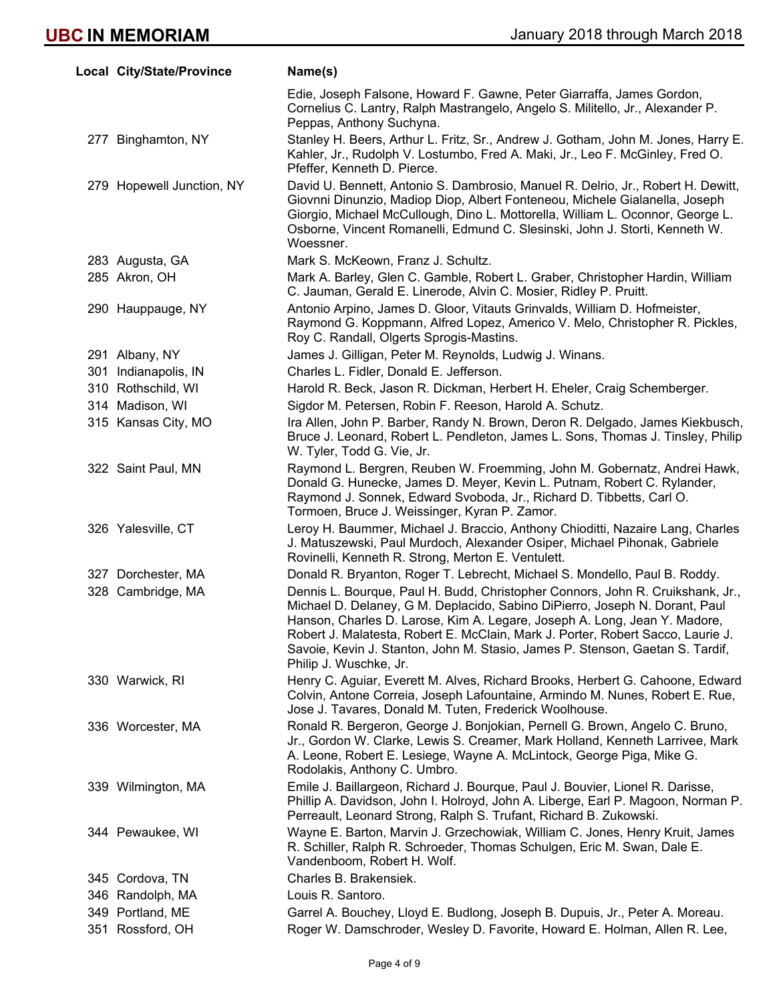| Local City/State/Province | Name(s)                                                                                                                                                                                                                                                                                                                                                                                                                                  |
|---------------------------|------------------------------------------------------------------------------------------------------------------------------------------------------------------------------------------------------------------------------------------------------------------------------------------------------------------------------------------------------------------------------------------------------------------------------------------|
|                           | Edie, Joseph Falsone, Howard F. Gawne, Peter Giarraffa, James Gordon,<br>Cornelius C. Lantry, Ralph Mastrangelo, Angelo S. Militello, Jr., Alexander P.<br>Peppas, Anthony Suchyna.                                                                                                                                                                                                                                                      |
| 277 Binghamton, NY        | Stanley H. Beers, Arthur L. Fritz, Sr., Andrew J. Gotham, John M. Jones, Harry E.<br>Kahler, Jr., Rudolph V. Lostumbo, Fred A. Maki, Jr., Leo F. McGinley, Fred O.<br>Pfeffer, Kenneth D. Pierce.                                                                                                                                                                                                                                        |
| 279 Hopewell Junction, NY | David U. Bennett, Antonio S. Dambrosio, Manuel R. Delrio, Jr., Robert H. Dewitt,<br>Giovnni Dinunzio, Madiop Diop, Albert Fonteneou, Michele Gialanella, Joseph<br>Giorgio, Michael McCullough, Dino L. Mottorella, William L. Oconnor, George L.<br>Osborne, Vincent Romanelli, Edmund C. Slesinski, John J. Storti, Kenneth W.<br>Woessner.                                                                                            |
| 283 Augusta, GA           | Mark S. McKeown, Franz J. Schultz.                                                                                                                                                                                                                                                                                                                                                                                                       |
| 285 Akron, OH             | Mark A. Barley, Glen C. Gamble, Robert L. Graber, Christopher Hardin, William<br>C. Jauman, Gerald E. Linerode, Alvin C. Mosier, Ridley P. Pruitt.                                                                                                                                                                                                                                                                                       |
| 290 Hauppauge, NY         | Antonio Arpino, James D. Gloor, Vitauts Grinvalds, William D. Hofmeister,<br>Raymond G. Koppmann, Alfred Lopez, Americo V. Melo, Christopher R. Pickles,<br>Roy C. Randall, Olgerts Sprogis-Mastins.                                                                                                                                                                                                                                     |
| 291 Albany, NY            | James J. Gilligan, Peter M. Reynolds, Ludwig J. Winans.                                                                                                                                                                                                                                                                                                                                                                                  |
| 301 Indianapolis, IN      | Charles L. Fidler, Donald E. Jefferson.                                                                                                                                                                                                                                                                                                                                                                                                  |
| 310 Rothschild, WI        | Harold R. Beck, Jason R. Dickman, Herbert H. Eheler, Craig Schemberger.                                                                                                                                                                                                                                                                                                                                                                  |
| 314 Madison, WI           | Sigdor M. Petersen, Robin F. Reeson, Harold A. Schutz.                                                                                                                                                                                                                                                                                                                                                                                   |
| 315 Kansas City, MO       | Ira Allen, John P. Barber, Randy N. Brown, Deron R. Delgado, James Kiekbusch,<br>Bruce J. Leonard, Robert L. Pendleton, James L. Sons, Thomas J. Tinsley, Philip<br>W. Tyler, Todd G. Vie, Jr.                                                                                                                                                                                                                                           |
| 322 Saint Paul, MN        | Raymond L. Bergren, Reuben W. Froemming, John M. Gobernatz, Andrei Hawk,<br>Donald G. Hunecke, James D. Meyer, Kevin L. Putnam, Robert C. Rylander,<br>Raymond J. Sonnek, Edward Svoboda, Jr., Richard D. Tibbetts, Carl O.<br>Tormoen, Bruce J. Weissinger, Kyran P. Zamor.                                                                                                                                                             |
| 326 Yalesville, CT        | Leroy H. Baummer, Michael J. Braccio, Anthony Chioditti, Nazaire Lang, Charles<br>J. Matuszewski, Paul Murdoch, Alexander Osiper, Michael Pihonak, Gabriele<br>Rovinelli, Kenneth R. Strong, Merton E. Ventulett.                                                                                                                                                                                                                        |
| 327 Dorchester, MA        | Donald R. Bryanton, Roger T. Lebrecht, Michael S. Mondello, Paul B. Roddy.                                                                                                                                                                                                                                                                                                                                                               |
| 328 Cambridge, MA         | Dennis L. Bourque, Paul H. Budd, Christopher Connors, John R. Cruikshank, Jr.,<br>Michael D. Delaney, G M. Deplacido, Sabino DiPierro, Joseph N. Dorant, Paul<br>Hanson, Charles D. Larose, Kim A. Legare, Joseph A. Long, Jean Y. Madore,<br>Robert J. Malatesta, Robert E. McClain, Mark J. Porter, Robert Sacco, Laurie J.<br>Savoie, Kevin J. Stanton, John M. Stasio, James P. Stenson, Gaetan S. Tardif,<br>Philip J. Wuschke, Jr. |
| 330 Warwick, RI           | Henry C. Aguiar, Everett M. Alves, Richard Brooks, Herbert G. Cahoone, Edward<br>Colvin, Antone Correia, Joseph Lafountaine, Armindo M. Nunes, Robert E. Rue,<br>Jose J. Tavares, Donald M. Tuten, Frederick Woolhouse.                                                                                                                                                                                                                  |
| 336 Worcester, MA         | Ronald R. Bergeron, George J. Bonjokian, Pernell G. Brown, Angelo C. Bruno,<br>Jr., Gordon W. Clarke, Lewis S. Creamer, Mark Holland, Kenneth Larrivee, Mark<br>A. Leone, Robert E. Lesiege, Wayne A. McLintock, George Piga, Mike G.<br>Rodolakis, Anthony C. Umbro.                                                                                                                                                                    |
| 339 Wilmington, MA        | Emile J. Baillargeon, Richard J. Bourque, Paul J. Bouvier, Lionel R. Darisse,<br>Phillip A. Davidson, John I. Holroyd, John A. Liberge, Earl P. Magoon, Norman P.<br>Perreault, Leonard Strong, Ralph S. Trufant, Richard B. Zukowski.                                                                                                                                                                                                   |
| 344 Pewaukee, WI          | Wayne E. Barton, Marvin J. Grzechowiak, William C. Jones, Henry Kruit, James<br>R. Schiller, Ralph R. Schroeder, Thomas Schulgen, Eric M. Swan, Dale E.<br>Vandenboom, Robert H. Wolf.                                                                                                                                                                                                                                                   |
| 345 Cordova, TN           | Charles B. Brakensiek.                                                                                                                                                                                                                                                                                                                                                                                                                   |
| 346 Randolph, MA          | Louis R. Santoro.                                                                                                                                                                                                                                                                                                                                                                                                                        |
| 349 Portland, ME          | Garrel A. Bouchey, Lloyd E. Budlong, Joseph B. Dupuis, Jr., Peter A. Moreau.                                                                                                                                                                                                                                                                                                                                                             |
| 351 Rossford, OH          | Roger W. Damschroder, Wesley D. Favorite, Howard E. Holman, Allen R. Lee,                                                                                                                                                                                                                                                                                                                                                                |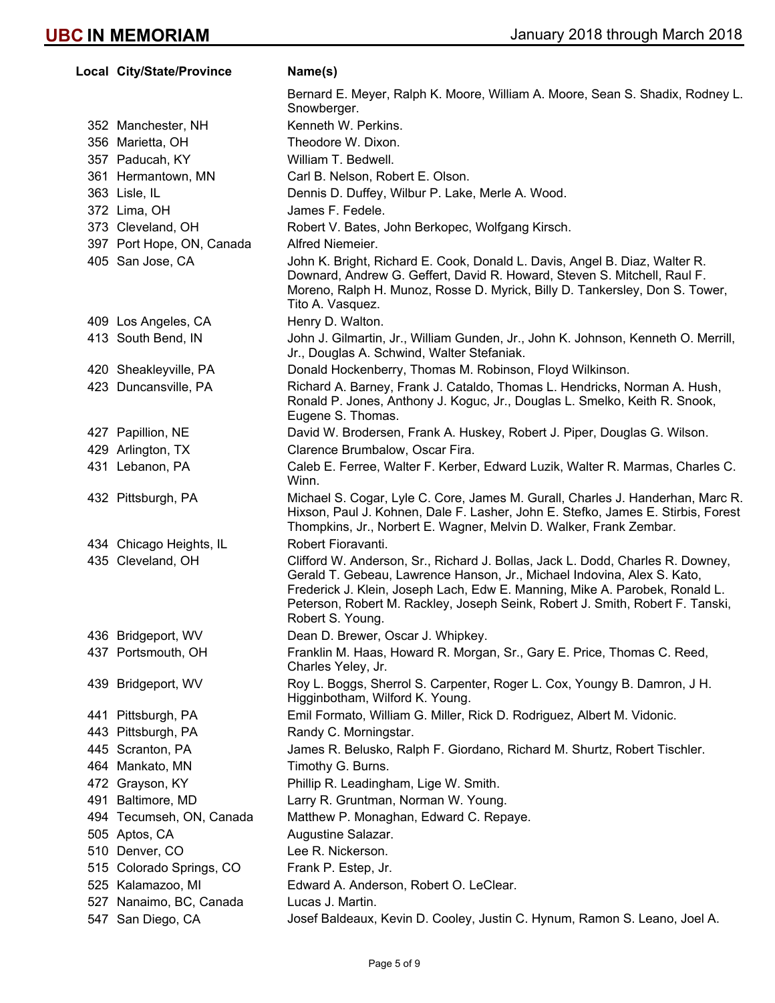| Local City/State/Province | Name(s)                                                                                                                                                                                                                                                                                                                                       |
|---------------------------|-----------------------------------------------------------------------------------------------------------------------------------------------------------------------------------------------------------------------------------------------------------------------------------------------------------------------------------------------|
|                           | Bernard E. Meyer, Ralph K. Moore, William A. Moore, Sean S. Shadix, Rodney L.<br>Snowberger.                                                                                                                                                                                                                                                  |
| 352 Manchester, NH        | Kenneth W. Perkins.                                                                                                                                                                                                                                                                                                                           |
| 356 Marietta, OH          | Theodore W. Dixon.                                                                                                                                                                                                                                                                                                                            |
| 357 Paducah, KY           | William T. Bedwell.                                                                                                                                                                                                                                                                                                                           |
| 361 Hermantown, MN        | Carl B. Nelson, Robert E. Olson.                                                                                                                                                                                                                                                                                                              |
| 363 Lisle, IL             | Dennis D. Duffey, Wilbur P. Lake, Merle A. Wood.                                                                                                                                                                                                                                                                                              |
| 372 Lima, OH              | James F. Fedele.                                                                                                                                                                                                                                                                                                                              |
| 373 Cleveland, OH         | Robert V. Bates, John Berkopec, Wolfgang Kirsch.                                                                                                                                                                                                                                                                                              |
| 397 Port Hope, ON, Canada | Alfred Niemeier.                                                                                                                                                                                                                                                                                                                              |
| 405 San Jose, CA          | John K. Bright, Richard E. Cook, Donald L. Davis, Angel B. Diaz, Walter R.<br>Downard, Andrew G. Geffert, David R. Howard, Steven S. Mitchell, Raul F.<br>Moreno, Ralph H. Munoz, Rosse D. Myrick, Billy D. Tankersley, Don S. Tower,<br>Tito A. Vasquez.                                                                                     |
| 409 Los Angeles, CA       | Henry D. Walton.                                                                                                                                                                                                                                                                                                                              |
| 413 South Bend, IN        | John J. Gilmartin, Jr., William Gunden, Jr., John K. Johnson, Kenneth O. Merrill,<br>Jr., Douglas A. Schwind, Walter Stefaniak.                                                                                                                                                                                                               |
| 420 Sheakleyville, PA     | Donald Hockenberry, Thomas M. Robinson, Floyd Wilkinson.                                                                                                                                                                                                                                                                                      |
| 423 Duncansville, PA      | Richard A. Barney, Frank J. Cataldo, Thomas L. Hendricks, Norman A. Hush,<br>Ronald P. Jones, Anthony J. Koguc, Jr., Douglas L. Smelko, Keith R. Snook,<br>Eugene S. Thomas.                                                                                                                                                                  |
| 427 Papillion, NE         | David W. Brodersen, Frank A. Huskey, Robert J. Piper, Douglas G. Wilson.                                                                                                                                                                                                                                                                      |
| 429 Arlington, TX         | Clarence Brumbalow, Oscar Fira.                                                                                                                                                                                                                                                                                                               |
| 431 Lebanon, PA           | Caleb E. Ferree, Walter F. Kerber, Edward Luzik, Walter R. Marmas, Charles C.<br>Winn.                                                                                                                                                                                                                                                        |
| 432 Pittsburgh, PA        | Michael S. Cogar, Lyle C. Core, James M. Gurall, Charles J. Handerhan, Marc R.<br>Hixson, Paul J. Kohnen, Dale F. Lasher, John E. Stefko, James E. Stirbis, Forest<br>Thompkins, Jr., Norbert E. Wagner, Melvin D. Walker, Frank Zembar.                                                                                                      |
| 434 Chicago Heights, IL   | Robert Fioravanti.                                                                                                                                                                                                                                                                                                                            |
| 435 Cleveland, OH         | Clifford W. Anderson, Sr., Richard J. Bollas, Jack L. Dodd, Charles R. Downey,<br>Gerald T. Gebeau, Lawrence Hanson, Jr., Michael Indovina, Alex S. Kato,<br>Frederick J. Klein, Joseph Lach, Edw E. Manning, Mike A. Parobek, Ronald L.<br>Peterson, Robert M. Rackley, Joseph Seink, Robert J. Smith, Robert F. Tanski,<br>Robert S. Young. |
| 436 Bridgeport, WV        | Dean D. Brewer, Oscar J. Whipkey.                                                                                                                                                                                                                                                                                                             |
| 437 Portsmouth, OH        | Franklin M. Haas, Howard R. Morgan, Sr., Gary E. Price, Thomas C. Reed,<br>Charles Yeley, Jr.                                                                                                                                                                                                                                                 |
| 439 Bridgeport, WV        | Roy L. Boggs, Sherrol S. Carpenter, Roger L. Cox, Youngy B. Damron, J H.<br>Higginbotham, Wilford K. Young.                                                                                                                                                                                                                                   |
| 441 Pittsburgh, PA        | Emil Formato, William G. Miller, Rick D. Rodriguez, Albert M. Vidonic.                                                                                                                                                                                                                                                                        |
| 443 Pittsburgh, PA        | Randy C. Morningstar.                                                                                                                                                                                                                                                                                                                         |
| 445 Scranton, PA          | James R. Belusko, Ralph F. Giordano, Richard M. Shurtz, Robert Tischler.                                                                                                                                                                                                                                                                      |
| 464 Mankato, MN           | Timothy G. Burns.                                                                                                                                                                                                                                                                                                                             |
| 472 Grayson, KY           | Phillip R. Leadingham, Lige W. Smith.                                                                                                                                                                                                                                                                                                         |
| 491 Baltimore, MD         | Larry R. Gruntman, Norman W. Young.                                                                                                                                                                                                                                                                                                           |
| 494 Tecumseh, ON, Canada  | Matthew P. Monaghan, Edward C. Repaye.                                                                                                                                                                                                                                                                                                        |
| 505 Aptos, CA             | Augustine Salazar.                                                                                                                                                                                                                                                                                                                            |
| 510 Denver, CO            | Lee R. Nickerson.                                                                                                                                                                                                                                                                                                                             |
| 515 Colorado Springs, CO  | Frank P. Estep, Jr.                                                                                                                                                                                                                                                                                                                           |
| 525 Kalamazoo, MI         | Edward A. Anderson, Robert O. LeClear.                                                                                                                                                                                                                                                                                                        |
| 527 Nanaimo, BC, Canada   | Lucas J. Martin.                                                                                                                                                                                                                                                                                                                              |
| 547 San Diego, CA         | Josef Baldeaux, Kevin D. Cooley, Justin C. Hynum, Ramon S. Leano, Joel A.                                                                                                                                                                                                                                                                     |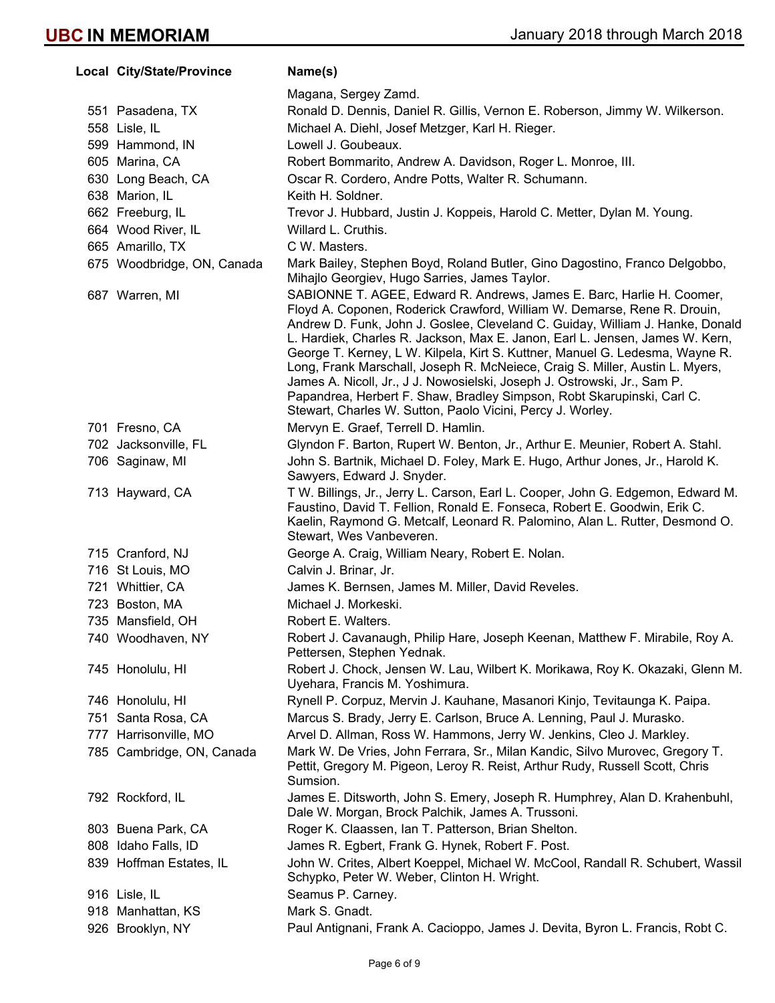| Local City/State/Province  | Name(s)                                                                                                                                                                                                                                                                                                                                                                                                                                                                                                                                                                                                                                                                                                |
|----------------------------|--------------------------------------------------------------------------------------------------------------------------------------------------------------------------------------------------------------------------------------------------------------------------------------------------------------------------------------------------------------------------------------------------------------------------------------------------------------------------------------------------------------------------------------------------------------------------------------------------------------------------------------------------------------------------------------------------------|
|                            | Magana, Sergey Zamd.                                                                                                                                                                                                                                                                                                                                                                                                                                                                                                                                                                                                                                                                                   |
| 551 Pasadena, TX           | Ronald D. Dennis, Daniel R. Gillis, Vernon E. Roberson, Jimmy W. Wilkerson.                                                                                                                                                                                                                                                                                                                                                                                                                                                                                                                                                                                                                            |
| 558 Lisle, IL              | Michael A. Diehl, Josef Metzger, Karl H. Rieger.                                                                                                                                                                                                                                                                                                                                                                                                                                                                                                                                                                                                                                                       |
| 599 Hammond, IN            | Lowell J. Goubeaux.                                                                                                                                                                                                                                                                                                                                                                                                                                                                                                                                                                                                                                                                                    |
| 605 Marina, CA             | Robert Bommarito, Andrew A. Davidson, Roger L. Monroe, III.                                                                                                                                                                                                                                                                                                                                                                                                                                                                                                                                                                                                                                            |
| 630 Long Beach, CA         | Oscar R. Cordero, Andre Potts, Walter R. Schumann.                                                                                                                                                                                                                                                                                                                                                                                                                                                                                                                                                                                                                                                     |
| 638 Marion, IL             | Keith H. Soldner.                                                                                                                                                                                                                                                                                                                                                                                                                                                                                                                                                                                                                                                                                      |
| 662 Freeburg, IL           | Trevor J. Hubbard, Justin J. Koppeis, Harold C. Metter, Dylan M. Young.                                                                                                                                                                                                                                                                                                                                                                                                                                                                                                                                                                                                                                |
| 664 Wood River, IL         | Willard L. Cruthis.                                                                                                                                                                                                                                                                                                                                                                                                                                                                                                                                                                                                                                                                                    |
| 665 Amarillo, TX           | C W. Masters.                                                                                                                                                                                                                                                                                                                                                                                                                                                                                                                                                                                                                                                                                          |
| 675 Woodbridge, ON, Canada | Mark Bailey, Stephen Boyd, Roland Butler, Gino Dagostino, Franco Delgobbo,<br>Mihajlo Georgiev, Hugo Sarries, James Taylor.                                                                                                                                                                                                                                                                                                                                                                                                                                                                                                                                                                            |
| 687 Warren, MI             | SABIONNE T. AGEE, Edward R. Andrews, James E. Barc, Harlie H. Coomer,<br>Floyd A. Coponen, Roderick Crawford, William W. Demarse, Rene R. Drouin,<br>Andrew D. Funk, John J. Goslee, Cleveland C. Guiday, William J. Hanke, Donald<br>L. Hardiek, Charles R. Jackson, Max E. Janon, Earl L. Jensen, James W. Kern,<br>George T. Kerney, L W. Kilpela, Kirt S. Kuttner, Manuel G. Ledesma, Wayne R.<br>Long, Frank Marschall, Joseph R. McNeiece, Craig S. Miller, Austin L. Myers,<br>James A. Nicoll, Jr., J J. Nowosielski, Joseph J. Ostrowski, Jr., Sam P.<br>Papandrea, Herbert F. Shaw, Bradley Simpson, Robt Skarupinski, Carl C.<br>Stewart, Charles W. Sutton, Paolo Vicini, Percy J. Worley. |
| 701 Fresno, CA             | Mervyn E. Graef, Terrell D. Hamlin.                                                                                                                                                                                                                                                                                                                                                                                                                                                                                                                                                                                                                                                                    |
| 702 Jacksonville, FL       | Glyndon F. Barton, Rupert W. Benton, Jr., Arthur E. Meunier, Robert A. Stahl.                                                                                                                                                                                                                                                                                                                                                                                                                                                                                                                                                                                                                          |
| 706 Saginaw, MI            | John S. Bartnik, Michael D. Foley, Mark E. Hugo, Arthur Jones, Jr., Harold K.<br>Sawyers, Edward J. Snyder.                                                                                                                                                                                                                                                                                                                                                                                                                                                                                                                                                                                            |
| 713 Hayward, CA            | T W. Billings, Jr., Jerry L. Carson, Earl L. Cooper, John G. Edgemon, Edward M.<br>Faustino, David T. Fellion, Ronald E. Fonseca, Robert E. Goodwin, Erik C.<br>Kaelin, Raymond G. Metcalf, Leonard R. Palomino, Alan L. Rutter, Desmond O.<br>Stewart, Wes Vanbeveren.                                                                                                                                                                                                                                                                                                                                                                                                                                |
| 715 Cranford, NJ           | George A. Craig, William Neary, Robert E. Nolan.                                                                                                                                                                                                                                                                                                                                                                                                                                                                                                                                                                                                                                                       |
| 716 St Louis, MO           | Calvin J. Brinar, Jr.                                                                                                                                                                                                                                                                                                                                                                                                                                                                                                                                                                                                                                                                                  |
| 721 Whittier, CA           | James K. Bernsen, James M. Miller, David Reveles.                                                                                                                                                                                                                                                                                                                                                                                                                                                                                                                                                                                                                                                      |
| 723 Boston, MA             | Michael J. Morkeski.                                                                                                                                                                                                                                                                                                                                                                                                                                                                                                                                                                                                                                                                                   |
| 735 Mansfield, OH          | Robert E. Walters.                                                                                                                                                                                                                                                                                                                                                                                                                                                                                                                                                                                                                                                                                     |
| 740 Woodhaven, NY          | Robert J. Cavanaugh, Philip Hare, Joseph Keenan, Matthew F. Mirabile, Roy A.<br>Pettersen, Stephen Yednak.                                                                                                                                                                                                                                                                                                                                                                                                                                                                                                                                                                                             |
| 745 Honolulu, HI           | Robert J. Chock, Jensen W. Lau, Wilbert K. Morikawa, Roy K. Okazaki, Glenn M.<br>Uyehara, Francis M. Yoshimura.                                                                                                                                                                                                                                                                                                                                                                                                                                                                                                                                                                                        |
| 746 Honolulu, HI           | Rynell P. Corpuz, Mervin J. Kauhane, Masanori Kinjo, Tevitaunga K. Paipa.                                                                                                                                                                                                                                                                                                                                                                                                                                                                                                                                                                                                                              |
| 751 Santa Rosa, CA         | Marcus S. Brady, Jerry E. Carlson, Bruce A. Lenning, Paul J. Murasko.                                                                                                                                                                                                                                                                                                                                                                                                                                                                                                                                                                                                                                  |
| 777 Harrisonville, MO      | Arvel D. Allman, Ross W. Hammons, Jerry W. Jenkins, Cleo J. Markley.                                                                                                                                                                                                                                                                                                                                                                                                                                                                                                                                                                                                                                   |
| 785 Cambridge, ON, Canada  | Mark W. De Vries, John Ferrara, Sr., Milan Kandic, Silvo Murovec, Gregory T.<br>Pettit, Gregory M. Pigeon, Leroy R. Reist, Arthur Rudy, Russell Scott, Chris<br>Sumsion.                                                                                                                                                                                                                                                                                                                                                                                                                                                                                                                               |
| 792 Rockford, IL           | James E. Ditsworth, John S. Emery, Joseph R. Humphrey, Alan D. Krahenbuhl,<br>Dale W. Morgan, Brock Palchik, James A. Trussoni.                                                                                                                                                                                                                                                                                                                                                                                                                                                                                                                                                                        |
| 803 Buena Park, CA         | Roger K. Claassen, Ian T. Patterson, Brian Shelton.                                                                                                                                                                                                                                                                                                                                                                                                                                                                                                                                                                                                                                                    |
| 808 Idaho Falls, ID        | James R. Egbert, Frank G. Hynek, Robert F. Post.                                                                                                                                                                                                                                                                                                                                                                                                                                                                                                                                                                                                                                                       |
| 839 Hoffman Estates, IL    | John W. Crites, Albert Koeppel, Michael W. McCool, Randall R. Schubert, Wassil<br>Schypko, Peter W. Weber, Clinton H. Wright.                                                                                                                                                                                                                                                                                                                                                                                                                                                                                                                                                                          |
| 916 Lisle, IL              | Seamus P. Carney.                                                                                                                                                                                                                                                                                                                                                                                                                                                                                                                                                                                                                                                                                      |
| 918 Manhattan, KS          | Mark S. Gnadt.                                                                                                                                                                                                                                                                                                                                                                                                                                                                                                                                                                                                                                                                                         |
| 926 Brooklyn, NY           | Paul Antignani, Frank A. Cacioppo, James J. Devita, Byron L. Francis, Robt C.                                                                                                                                                                                                                                                                                                                                                                                                                                                                                                                                                                                                                          |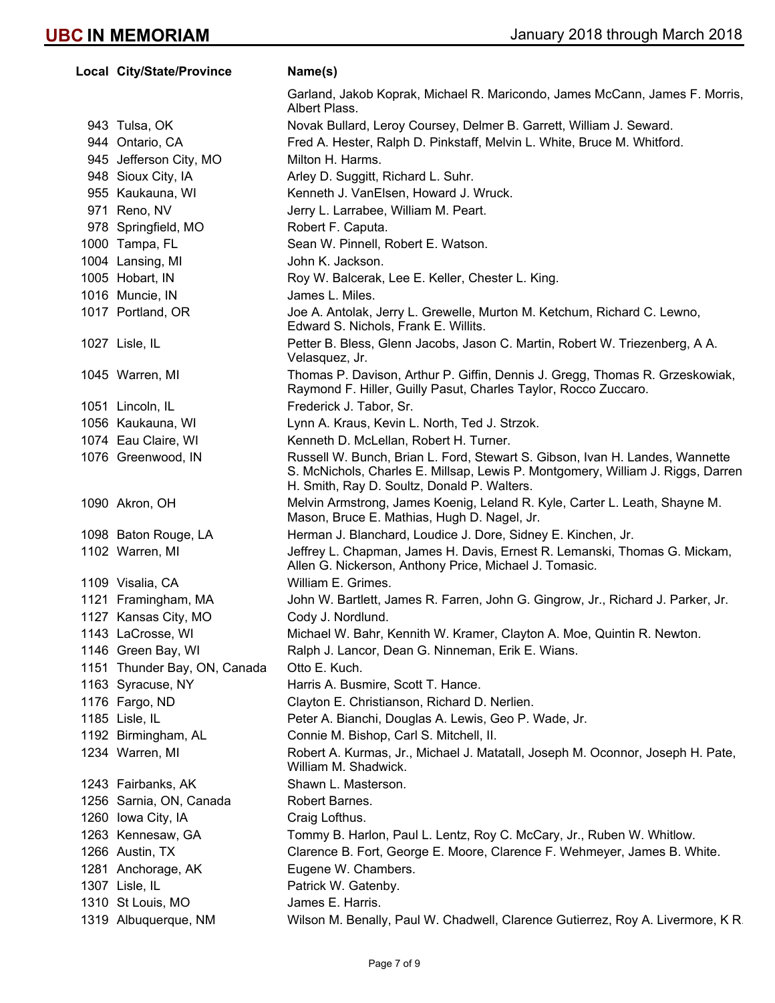| Local City/State/Province    | Name(s)                                                                                                                                                                                                        |
|------------------------------|----------------------------------------------------------------------------------------------------------------------------------------------------------------------------------------------------------------|
|                              | Garland, Jakob Koprak, Michael R. Maricondo, James McCann, James F. Morris,<br>Albert Plass.                                                                                                                   |
| 943 Tulsa, OK                | Novak Bullard, Leroy Coursey, Delmer B. Garrett, William J. Seward.                                                                                                                                            |
| 944 Ontario, CA              | Fred A. Hester, Ralph D. Pinkstaff, Melvin L. White, Bruce M. Whitford.                                                                                                                                        |
| 945 Jefferson City, MO       | Milton H. Harms.                                                                                                                                                                                               |
| 948 Sioux City, IA           | Arley D. Suggitt, Richard L. Suhr.                                                                                                                                                                             |
| 955 Kaukauna, WI             | Kenneth J. VanElsen, Howard J. Wruck.                                                                                                                                                                          |
| 971 Reno, NV                 | Jerry L. Larrabee, William M. Peart.                                                                                                                                                                           |
| 978 Springfield, MO          | Robert F. Caputa.                                                                                                                                                                                              |
| 1000 Tampa, FL               | Sean W. Pinnell, Robert E. Watson.                                                                                                                                                                             |
| 1004 Lansing, MI             | John K. Jackson.                                                                                                                                                                                               |
| 1005 Hobart, IN              | Roy W. Balcerak, Lee E. Keller, Chester L. King.                                                                                                                                                               |
| 1016 Muncie, IN              | James L. Miles.                                                                                                                                                                                                |
| 1017 Portland, OR            | Joe A. Antolak, Jerry L. Grewelle, Murton M. Ketchum, Richard C. Lewno,<br>Edward S. Nichols, Frank E. Willits.                                                                                                |
| 1027 Lisle, IL               | Petter B. Bless, Glenn Jacobs, Jason C. Martin, Robert W. Triezenberg, A A.<br>Velasquez, Jr.                                                                                                                  |
| 1045 Warren, MI              | Thomas P. Davison, Arthur P. Giffin, Dennis J. Gregg, Thomas R. Grzeskowiak,<br>Raymond F. Hiller, Guilly Pasut, Charles Taylor, Rocco Zuccaro.                                                                |
| 1051 Lincoln, IL             | Frederick J. Tabor, Sr.                                                                                                                                                                                        |
| 1056 Kaukauna, WI            | Lynn A. Kraus, Kevin L. North, Ted J. Strzok.                                                                                                                                                                  |
| 1074 Eau Claire, WI          | Kenneth D. McLellan, Robert H. Turner.                                                                                                                                                                         |
| 1076 Greenwood, IN           | Russell W. Bunch, Brian L. Ford, Stewart S. Gibson, Ivan H. Landes, Wannette<br>S. McNichols, Charles E. Millsap, Lewis P. Montgomery, William J. Riggs, Darren<br>H. Smith, Ray D. Soultz, Donald P. Walters. |
| 1090 Akron, OH               | Melvin Armstrong, James Koenig, Leland R. Kyle, Carter L. Leath, Shayne M.<br>Mason, Bruce E. Mathias, Hugh D. Nagel, Jr.                                                                                      |
| 1098 Baton Rouge, LA         | Herman J. Blanchard, Loudice J. Dore, Sidney E. Kinchen, Jr.                                                                                                                                                   |
| 1102 Warren, MI              | Jeffrey L. Chapman, James H. Davis, Ernest R. Lemanski, Thomas G. Mickam,<br>Allen G. Nickerson, Anthony Price, Michael J. Tomasic.                                                                            |
| 1109 Visalia, CA             | William E. Grimes.                                                                                                                                                                                             |
| 1121 Framingham, MA          | John W. Bartlett, James R. Farren, John G. Gingrow, Jr., Richard J. Parker, Jr.                                                                                                                                |
| 1127 Kansas City, MO         | Cody J. Nordlund.                                                                                                                                                                                              |
| 1143 LaCrosse, WI            | Michael W. Bahr, Kennith W. Kramer, Clayton A. Moe, Quintin R. Newton.                                                                                                                                         |
| 1146 Green Bay, WI           | Ralph J. Lancor, Dean G. Ninneman, Erik E. Wians.                                                                                                                                                              |
| 1151 Thunder Bay, ON, Canada | Otto E. Kuch.                                                                                                                                                                                                  |
| 1163 Syracuse, NY            | Harris A. Busmire, Scott T. Hance.                                                                                                                                                                             |
| 1176 Fargo, ND               | Clayton E. Christianson, Richard D. Nerlien.                                                                                                                                                                   |
| 1185 Lisle, IL               | Peter A. Bianchi, Douglas A. Lewis, Geo P. Wade, Jr.                                                                                                                                                           |
| 1192 Birmingham, AL          | Connie M. Bishop, Carl S. Mitchell, II.                                                                                                                                                                        |
| 1234 Warren, MI              | Robert A. Kurmas, Jr., Michael J. Matatall, Joseph M. Oconnor, Joseph H. Pate,<br>William M. Shadwick.                                                                                                         |
| 1243 Fairbanks, AK           | Shawn L. Masterson.                                                                                                                                                                                            |
| 1256 Sarnia, ON, Canada      | Robert Barnes.                                                                                                                                                                                                 |
| 1260 Iowa City, IA           | Craig Lofthus.                                                                                                                                                                                                 |
| 1263 Kennesaw, GA            | Tommy B. Harlon, Paul L. Lentz, Roy C. McCary, Jr., Ruben W. Whitlow.                                                                                                                                          |
| 1266 Austin, TX              | Clarence B. Fort, George E. Moore, Clarence F. Wehmeyer, James B. White.                                                                                                                                       |
| 1281 Anchorage, AK           | Eugene W. Chambers.                                                                                                                                                                                            |
| 1307 Lisle, IL               | Patrick W. Gatenby.                                                                                                                                                                                            |
| 1310 St Louis, MO            | James E. Harris.                                                                                                                                                                                               |
| 1319 Albuquerque, NM         | Wilson M. Benally, Paul W. Chadwell, Clarence Gutierrez, Roy A. Livermore, K R.                                                                                                                                |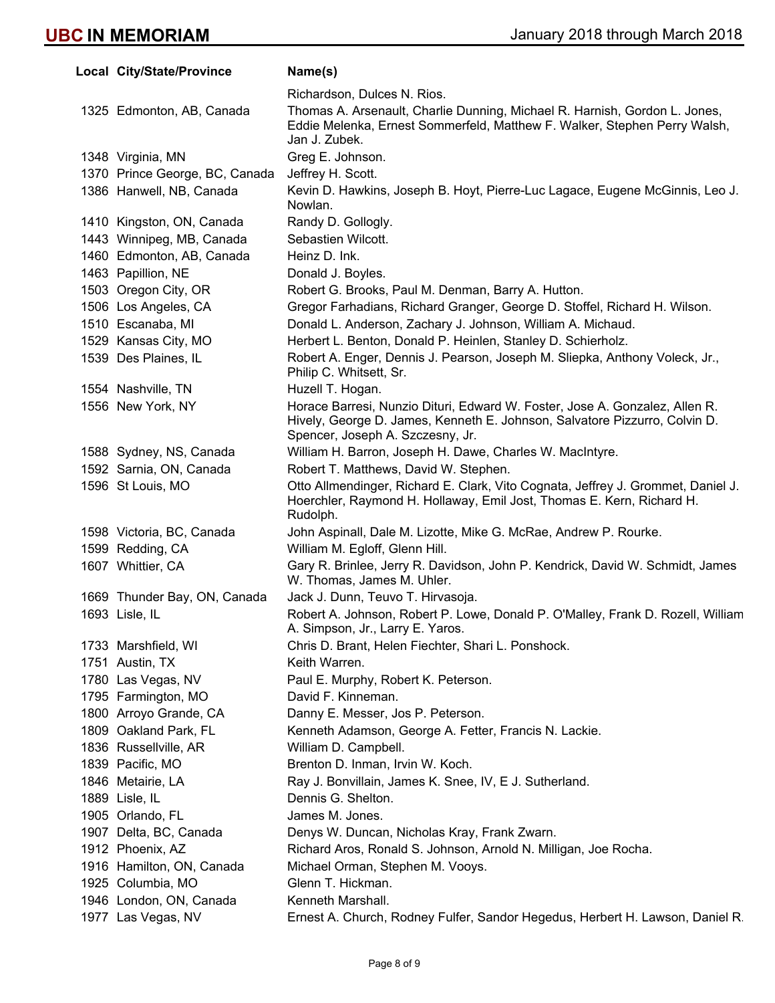| Local City/State/Province      | Name(s)                                                                                                                                                                                       |
|--------------------------------|-----------------------------------------------------------------------------------------------------------------------------------------------------------------------------------------------|
|                                | Richardson, Dulces N. Rios.                                                                                                                                                                   |
| 1325 Edmonton, AB, Canada      | Thomas A. Arsenault, Charlie Dunning, Michael R. Harnish, Gordon L. Jones,<br>Eddie Melenka, Ernest Sommerfeld, Matthew F. Walker, Stephen Perry Walsh,<br>Jan J. Zubek.                      |
| 1348 Virginia, MN              | Greg E. Johnson.                                                                                                                                                                              |
| 1370 Prince George, BC, Canada | Jeffrey H. Scott.                                                                                                                                                                             |
| 1386 Hanwell, NB, Canada       | Kevin D. Hawkins, Joseph B. Hoyt, Pierre-Luc Lagace, Eugene McGinnis, Leo J.<br>Nowlan.                                                                                                       |
| 1410 Kingston, ON, Canada      | Randy D. Gollogly.                                                                                                                                                                            |
| 1443 Winnipeg, MB, Canada      | Sebastien Wilcott.                                                                                                                                                                            |
| 1460 Edmonton, AB, Canada      | Heinz D. Ink.                                                                                                                                                                                 |
| 1463 Papillion, NE             | Donald J. Boyles.                                                                                                                                                                             |
| 1503 Oregon City, OR           | Robert G. Brooks, Paul M. Denman, Barry A. Hutton.                                                                                                                                            |
| 1506 Los Angeles, CA           | Gregor Farhadians, Richard Granger, George D. Stoffel, Richard H. Wilson.                                                                                                                     |
| 1510 Escanaba, MI              | Donald L. Anderson, Zachary J. Johnson, William A. Michaud.                                                                                                                                   |
| 1529 Kansas City, MO           | Herbert L. Benton, Donald P. Heinlen, Stanley D. Schierholz.                                                                                                                                  |
| 1539 Des Plaines, IL           | Robert A. Enger, Dennis J. Pearson, Joseph M. Sliepka, Anthony Voleck, Jr.,<br>Philip C. Whitsett, Sr.                                                                                        |
| 1554 Nashville, TN             | Huzell T. Hogan.                                                                                                                                                                              |
| 1556 New York, NY              | Horace Barresi, Nunzio Dituri, Edward W. Foster, Jose A. Gonzalez, Allen R.<br>Hively, George D. James, Kenneth E. Johnson, Salvatore Pizzurro, Colvin D.<br>Spencer, Joseph A. Szczesny, Jr. |
| 1588 Sydney, NS, Canada        | William H. Barron, Joseph H. Dawe, Charles W. MacIntyre.                                                                                                                                      |
| 1592 Sarnia, ON, Canada        | Robert T. Matthews, David W. Stephen.                                                                                                                                                         |
| 1596 St Louis, MO              | Otto Allmendinger, Richard E. Clark, Vito Cognata, Jeffrey J. Grommet, Daniel J.<br>Hoerchler, Raymond H. Hollaway, Emil Jost, Thomas E. Kern, Richard H.<br>Rudolph.                         |
| 1598 Victoria, BC, Canada      | John Aspinall, Dale M. Lizotte, Mike G. McRae, Andrew P. Rourke.                                                                                                                              |
| 1599 Redding, CA               | William M. Egloff, Glenn Hill.                                                                                                                                                                |
| 1607 Whittier, CA              | Gary R. Brinlee, Jerry R. Davidson, John P. Kendrick, David W. Schmidt, James<br>W. Thomas, James M. Uhler.                                                                                   |
| 1669 Thunder Bay, ON, Canada   | Jack J. Dunn, Teuvo T. Hirvasoja.                                                                                                                                                             |
| 1693 Lisle, IL                 | Robert A. Johnson, Robert P. Lowe, Donald P. O'Malley, Frank D. Rozell, William<br>A. Simpson, Jr., Larry E. Yaros.                                                                           |
| 1733 Marshfield, WI            | Chris D. Brant, Helen Fiechter, Shari L. Ponshock.                                                                                                                                            |
| 1751 Austin, TX                | Keith Warren.                                                                                                                                                                                 |
| 1780 Las Vegas, NV             | Paul E. Murphy, Robert K. Peterson.                                                                                                                                                           |
| 1795 Farmington, MO            | David F. Kinneman.                                                                                                                                                                            |
| 1800 Arroyo Grande, CA         | Danny E. Messer, Jos P. Peterson.                                                                                                                                                             |
| 1809 Oakland Park, FL          | Kenneth Adamson, George A. Fetter, Francis N. Lackie.                                                                                                                                         |
| 1836 Russellville, AR          | William D. Campbell.                                                                                                                                                                          |
| 1839 Pacific, MO               | Brenton D. Inman, Irvin W. Koch.                                                                                                                                                              |
| 1846 Metairie, LA              | Ray J. Bonvillain, James K. Snee, IV, E J. Sutherland.                                                                                                                                        |
| 1889 Lisle, IL                 | Dennis G. Shelton.                                                                                                                                                                            |
| 1905 Orlando, FL               | James M. Jones.                                                                                                                                                                               |
| 1907 Delta, BC, Canada         | Denys W. Duncan, Nicholas Kray, Frank Zwarn.                                                                                                                                                  |
| 1912 Phoenix, AZ               | Richard Aros, Ronald S. Johnson, Arnold N. Milligan, Joe Rocha.                                                                                                                               |
| 1916 Hamilton, ON, Canada      | Michael Orman, Stephen M. Vooys.                                                                                                                                                              |
| 1925 Columbia, MO              | Glenn T. Hickman.                                                                                                                                                                             |
| 1946 London, ON, Canada        | Kenneth Marshall.                                                                                                                                                                             |
| 1977 Las Vegas, NV             | Ernest A. Church, Rodney Fulfer, Sandor Hegedus, Herbert H. Lawson, Daniel R.                                                                                                                 |